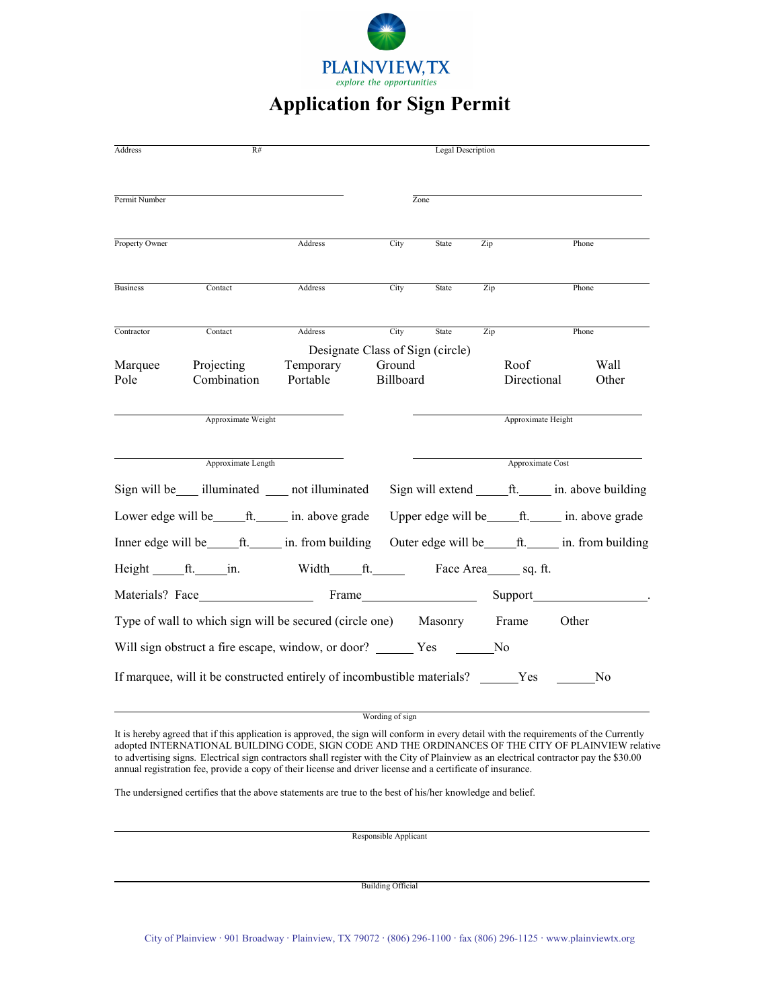

## **Application for Sign Permit**

| <b>Address</b>                                                  | R#                        |                                                                         |                                                          | <b>Legal Description</b> |     |                     |                                                 |  |
|-----------------------------------------------------------------|---------------------------|-------------------------------------------------------------------------|----------------------------------------------------------|--------------------------|-----|---------------------|-------------------------------------------------|--|
| Permit Number                                                   |                           |                                                                         | Zone                                                     |                          |     |                     |                                                 |  |
| Property Owner                                                  |                           | Address                                                                 | City                                                     | State                    | Zip |                     | Phone                                           |  |
| <b>Business</b>                                                 | Contact                   | Address                                                                 | City                                                     | State                    | Zip |                     | Phone                                           |  |
| Contractor                                                      | Contact                   | <b>Address</b>                                                          | City                                                     | <b>State</b>             | Zip |                     | Phone                                           |  |
| Marquee<br>Pole                                                 | Projecting<br>Combination | Designate Class of Sign (circle)<br>Temporary<br>Portable               | Ground<br>Billboard                                      |                          |     | Roof<br>Directional | Wall<br>Other                                   |  |
|                                                                 | Approximate Weight        |                                                                         |                                                          |                          |     | Approximate Height  |                                                 |  |
| Approximate Length                                              |                           |                                                                         | Approximate Cost                                         |                          |     |                     |                                                 |  |
|                                                                 |                           | Sign will be ____ illuminated _____ not illuminated                     |                                                          |                          |     |                     | Sign will extend <u>fit.</u> in. above building |  |
|                                                                 |                           | Lower edge will be _______ ft. _______ in. above grade                  |                                                          |                          |     |                     |                                                 |  |
|                                                                 |                           |                                                                         | Outer edge will be _______ ft. _______ in. from building |                          |     |                     |                                                 |  |
| Height ft. in.                                                  |                           | Width ft. Face Area sq. ft.                                             |                                                          |                          |     |                     |                                                 |  |
|                                                                 |                           |                                                                         |                                                          |                          |     |                     |                                                 |  |
| Type of wall to which sign will be secured (circle one) Masonry |                           |                                                                         |                                                          |                          |     | Frame               | Other                                           |  |
|                                                                 |                           |                                                                         |                                                          |                          |     |                     |                                                 |  |
|                                                                 |                           | If marquee, will it be constructed entirely of incombustible materials? |                                                          |                          |     | Yes                 | No                                              |  |

Wording of sign

It is hereby agreed that if this application is approved, the sign will conform in every detail with the requirements of the Currently adopted INTERNATIONAL BUILDING CODE, SIGN CODE AND THE ORDINANCES OF THE CITY OF PLAINVIEW relative to advertising signs. Electrical sign contractors shall register with the City of Plainview as an electrical contractor pay the \$30.00 annual registration fee, provide a copy of their license and driver license and a certificate of insurance.

The undersigned certifies that the above statements are true to the best of his/her knowledge and belief.

 $\overline{a}$ 

 $\overline{a}$ 

 $\overline{a}$ 

Responsible Applicant

Building Official